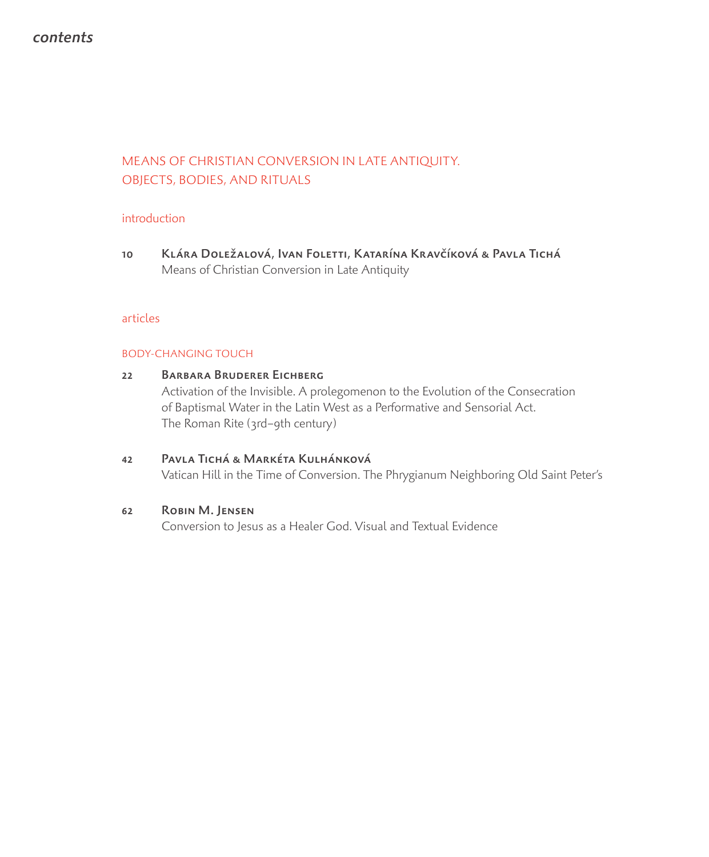# contents

# MEANS OF CHRISTIAN CONVERSION IN LATE ANTIQUITY. OBJECTS, BODIES, AND RITUALS

# introduction

10 Klára Doležalová, Ivan Foletti, Katarína Kravčíková & Pavla Tichá Means of Christian Conversion in Late Antiquity

# articles

# BODY-CHANGING TOUCH

22 Barbara Bruderer Eichberg Activation of the Invisible. A prolegomenon to the Evolution of the Consecration of Baptismal Water in the Latin West as a Performative and Sensorial Act. The Roman Rite (3rd–9th century) 42 Pavla Tichá & Markéta Kulhánková Vatican Hill in the Time of Conversion. The Phrygianum Neighboring Old Saint Peter's

# 62 Robin M. Jensen

Conversion to Jesus as a Healer God. Visual and Textual Evidence